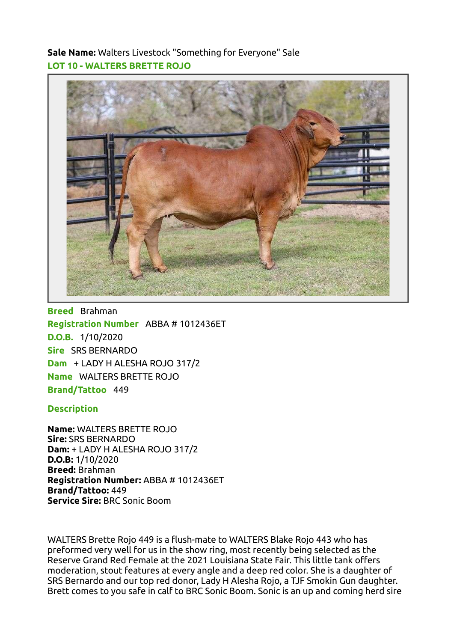Sale Name: Walters Livestock "Something for Everyone" Sale LOT 10 - WALTERS BRETTE ROJO



Breed Brahman Registration Number ABBA # 1012436ET D.O.B. 1/10/2020 Sire SRS BERNARDO Dam + LADY H ALESHA ROJO 317/2 Name WALTERS BRETTE ROJO Brand/Tattoo 449

## **Description**

Name: WALTERS BRETTE ROJO Sire: SRS BERNARDO Dam: + LADY H ALESHA ROJO 317/2 D.O.B: 1/10/2020 Breed: Brahman Registration Number: ABBA # 1012436ET Brand/Tattoo: 449 Service Sire: BRC Sonic Boom

WALTERS Brette Rojo 449 is a flush-mate to WALTERS Blake Rojo 443 who has preformed very well for us in the show ring, most recently being selected as the Reserve Grand Red Female at the 2021 Louisiana State Fair. This little tank offers moderation, stout features at every angle and a deep red color. She is a daughter of SRS Bernardo and our top red donor, Lady H Alesha Rojo, a TJF Smokin Gun daughter. Brett comes to you safe in calf to BRC Sonic Boom. Sonic is an up and coming herd sire